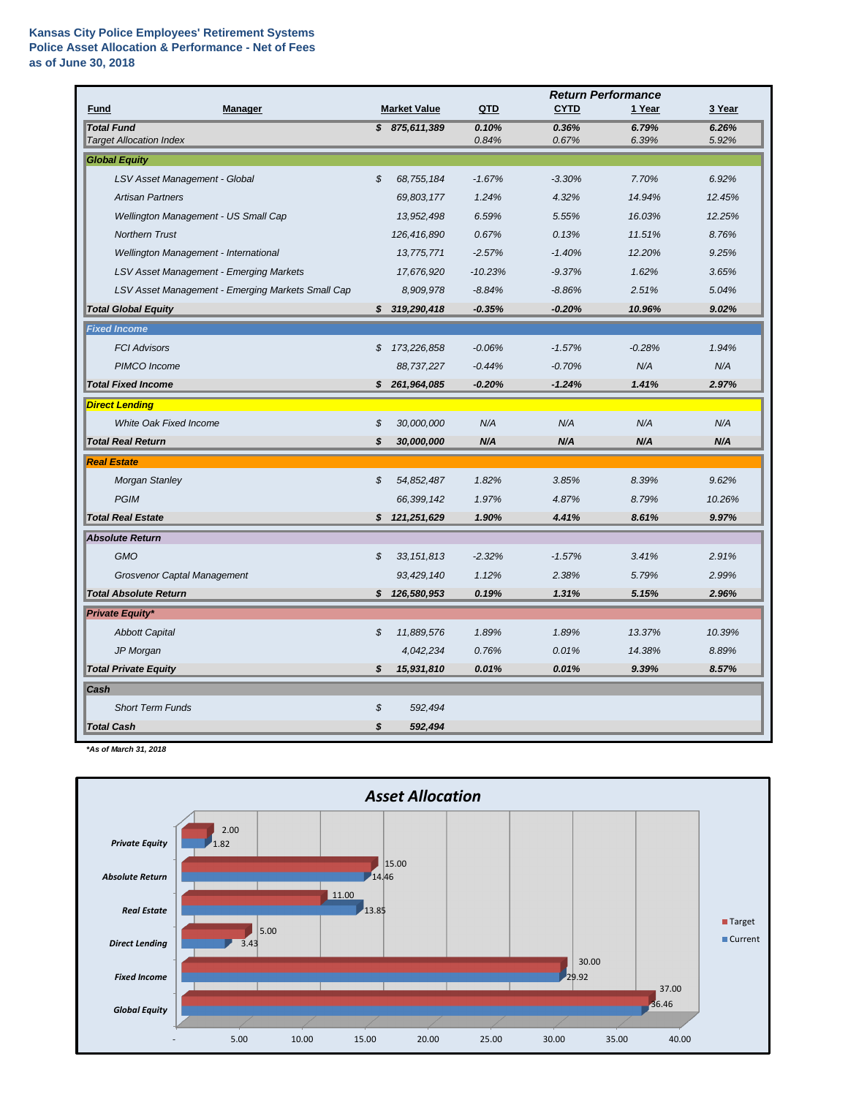|                                                     |                            |                     | <b>Return Performance</b> |                |                |                |
|-----------------------------------------------------|----------------------------|---------------------|---------------------------|----------------|----------------|----------------|
| <b>Manager</b><br><b>Fund</b>                       |                            | <b>Market Value</b> | QTD                       | <b>CYTD</b>    | 1 Year         | 3 Year         |
| <b>Total Fund</b><br><b>Target Allocation Index</b> |                            | \$875,611,389       | 0.10%<br>0.84%            | 0.36%<br>0.67% | 6.79%<br>6.39% | 6.26%<br>5.92% |
| <b>Global Equity</b>                                |                            |                     |                           |                |                |                |
| LSV Asset Management - Global                       | \$                         | 68,755,184          | $-1.67%$                  | $-3.30%$       | 7.70%          | 6.92%          |
| <b>Artisan Partners</b>                             |                            | 69,803,177          | 1.24%                     | 4.32%          | 14.94%         | 12.45%         |
| Wellington Management - US Small Cap                |                            | 13,952,498          | 6.59%                     | 5.55%          | 16.03%         | 12.25%         |
| <b>Northern Trust</b>                               |                            | 126,416,890         | 0.67%                     | 0.13%          | 11.51%         | 8.76%          |
| Wellington Management - International               |                            | 13,775,771          | $-2.57%$                  | $-1.40%$       | 12.20%         | 9.25%          |
| <b>LSV Asset Management - Emerging Markets</b>      |                            | 17,676,920          | $-10.23%$                 | $-9.37%$       | 1.62%          | 3.65%          |
| LSV Asset Management - Emerging Markets Small Cap   |                            | 8,909,978           | $-8.84%$                  | $-8.86%$       | 2.51%          | 5.04%          |
| <b>Total Global Equity</b>                          | S.                         | 319,290,418         | $-0.35%$                  | $-0.20%$       | 10.96%         | 9.02%          |
| <b>Fixed Income</b>                                 |                            |                     |                           |                |                |                |
| <b>FCI Advisors</b>                                 | \$                         | 173,226,858         | $-0.06%$                  | $-1.57%$       | $-0.28%$       | 1.94%          |
| PIMCO Income                                        |                            | 88,737,227          | $-0.44%$                  | $-0.70%$       | N/A            | N/A            |
| <b>Total Fixed Income</b>                           | \$                         | 261,964,085         | $-0.20%$                  | $-1.24%$       | 1.41%          | 2.97%          |
| <b>Direct Lending</b>                               |                            |                     |                           |                |                |                |
| <b>White Oak Fixed Income</b>                       | \$                         | 30,000,000          | N/A                       | N/A            | N/A            | N/A            |
| <b>Total Real Return</b>                            | S                          | 30,000,000          | N/A                       | N/A            | N/A            | N/A            |
| <b>Real Estate</b>                                  |                            |                     |                           |                |                |                |
| <b>Morgan Stanley</b>                               | \$                         | 54,852,487          | 1.82%                     | 3.85%          | 8.39%          | 9.62%          |
| <b>PGIM</b>                                         |                            | 66,399,142          | 1.97%                     | 4.87%          | 8.79%          | 10.26%         |
| <b>Total Real Estate</b>                            |                            | \$121,251,629       | 1.90%                     | 4.41%          | 8.61%          | 9.97%          |
| <b>Absolute Return</b>                              |                            |                     |                           |                |                |                |
| <b>GMO</b>                                          | \$                         | 33, 151, 813        | $-2.32%$                  | $-1.57%$       | 3.41%          | 2.91%          |
| <b>Grosvenor Captal Management</b>                  |                            | 93,429,140          | 1.12%                     | 2.38%          | 5.79%          | 2.99%          |
| <b>Total Absolute Return</b>                        | $\boldsymbol{\mathcal{S}}$ | 126,580,953         | 0.19%                     | 1.31%          | 5.15%          | 2.96%          |
| <b>Private Equity*</b>                              |                            |                     |                           |                |                |                |
| <b>Abbott Capital</b>                               | \$                         | 11,889,576          | 1.89%                     | 1.89%          | 13.37%         | 10.39%         |
| JP Morgan                                           |                            | 4,042,234           | 0.76%                     | 0.01%          | 14.38%         | 8.89%          |
| <b>Total Private Equity</b>                         | \$                         | 15,931,810          | 0.01%                     | 0.01%          | 9.39%          | 8.57%          |
| Cash                                                |                            |                     |                           |                |                |                |
| <b>Short Term Funds</b>                             | \$                         | 592,494             |                           |                |                |                |
| <b>Total Cash</b>                                   | \$                         | 592,494             |                           |                |                |                |

*\*As of March 31, 2018*